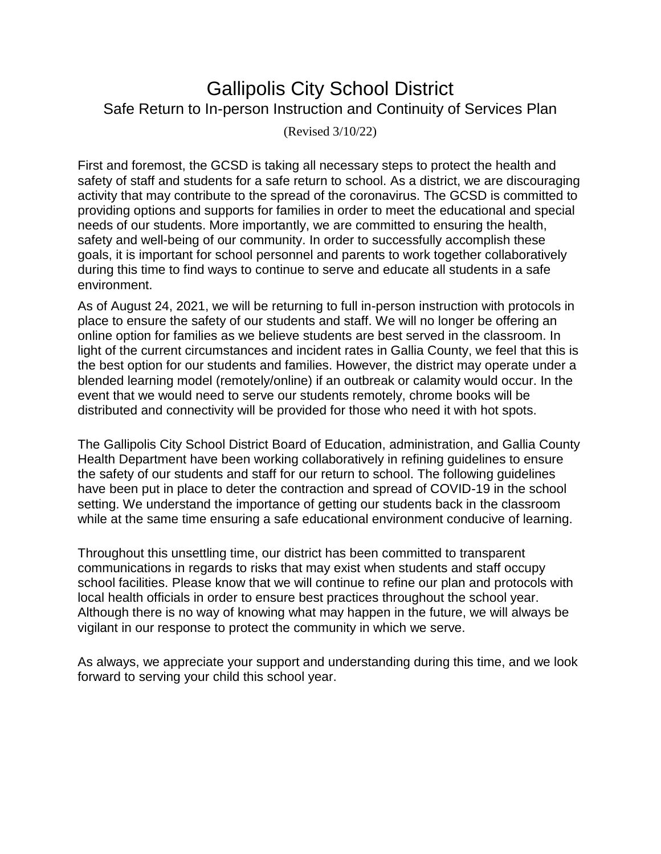# Gallipolis City School District Safe Return to In-person Instruction and Continuity of Services Plan

(Revised 3/10/22)

First and foremost, the GCSD is taking all necessary steps to protect the health and safety of staff and students for a safe return to school. As a district, we are discouraging activity that may contribute to the spread of the coronavirus. The GCSD is committed to providing options and supports for families in order to meet the educational and special needs of our students. More importantly, we are committed to ensuring the health, safety and well-being of our community. In order to successfully accomplish these goals, it is important for school personnel and parents to work together collaboratively during this time to find ways to continue to serve and educate all students in a safe environment.

As of August 24, 2021, we will be returning to full in-person instruction with protocols in place to ensure the safety of our students and staff. We will no longer be offering an online option for families as we believe students are best served in the classroom. In light of the current circumstances and incident rates in Gallia County, we feel that this is the best option for our students and families. However, the district may operate under a blended learning model (remotely/online) if an outbreak or calamity would occur. In the event that we would need to serve our students remotely, chrome books will be distributed and connectivity will be provided for those who need it with hot spots.

The Gallipolis City School District Board of Education, administration, and Gallia County Health Department have been working collaboratively in refining guidelines to ensure the safety of our students and staff for our return to school. The following guidelines have been put in place to deter the contraction and spread of COVID-19 in the school setting. We understand the importance of getting our students back in the classroom while at the same time ensuring a safe educational environment conducive of learning.

Throughout this unsettling time, our district has been committed to transparent communications in regards to risks that may exist when students and staff occupy school facilities. Please know that we will continue to refine our plan and protocols with local health officials in order to ensure best practices throughout the school year. Although there is no way of knowing what may happen in the future, we will always be vigilant in our response to protect the community in which we serve.

As always, we appreciate your support and understanding during this time, and we look forward to serving your child this school year.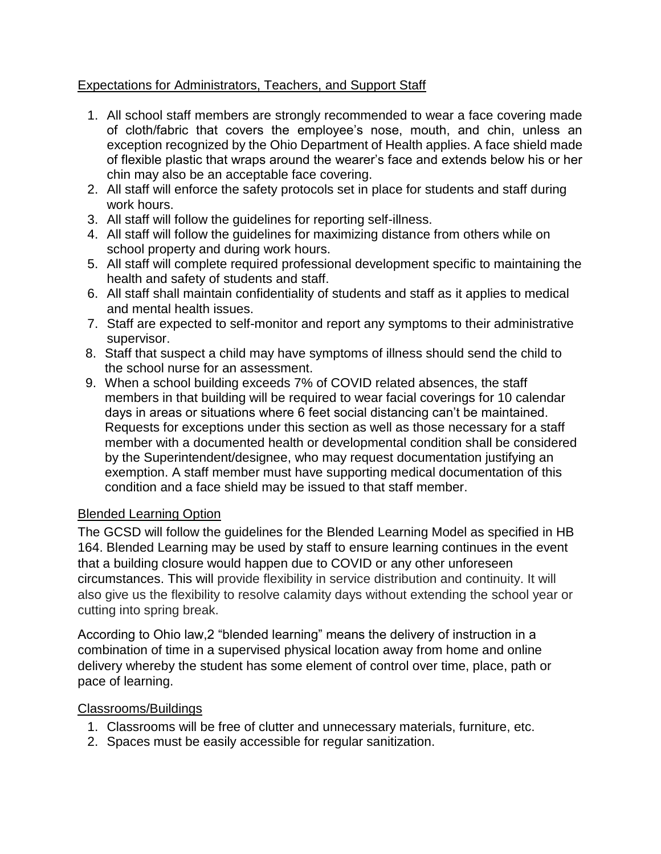# Expectations for Administrators, Teachers, and Support Staff

- 1. All school staff members are strongly recommended to wear a face covering made of cloth/fabric that covers the employee's nose, mouth, and chin, unless an exception recognized by the Ohio Department of Health applies. A face shield made of flexible plastic that wraps around the wearer's face and extends below his or her chin may also be an acceptable face covering.
- 2. All staff will enforce the safety protocols set in place for students and staff during work hours.
- 3. All staff will follow the guidelines for reporting self-illness.
- 4. All staff will follow the guidelines for maximizing distance from others while on school property and during work hours.
- 5. All staff will complete required professional development specific to maintaining the health and safety of students and staff.
- 6. All staff shall maintain confidentiality of students and staff as it applies to medical and mental health issues.
- 7. Staff are expected to self-monitor and report any symptoms to their administrative supervisor.
- 8. Staff that suspect a child may have symptoms of illness should send the child to the school nurse for an assessment.
- 9. When a school building exceeds 7% of COVID related absences, the staff members in that building will be required to wear facial coverings for 10 calendar days in areas or situations where 6 feet social distancing can't be maintained. Requests for exceptions under this section as well as those necessary for a staff member with a documented health or developmental condition shall be considered by the Superintendent/designee, who may request documentation justifying an exemption. A staff member must have supporting medical documentation of this condition and a face shield may be issued to that staff member.

## Blended Learning Option

The GCSD will follow the guidelines for the Blended Learning Model as specified in HB 164. Blended Learning may be used by staff to ensure learning continues in the event that a building closure would happen due to COVID or any other unforeseen circumstances. This will provide flexibility in service distribution and continuity. It will also give us the flexibility to resolve calamity days without extending the school year or cutting into spring break.

According to Ohio law,2 "blended learning" means the delivery of instruction in a combination of time in a supervised physical location away from home and online delivery whereby the student has some element of control over time, place, path or pace of learning.

## Classrooms/Buildings

- 1. Classrooms will be free of clutter and unnecessary materials, furniture, etc.
- 2. Spaces must be easily accessible for regular sanitization.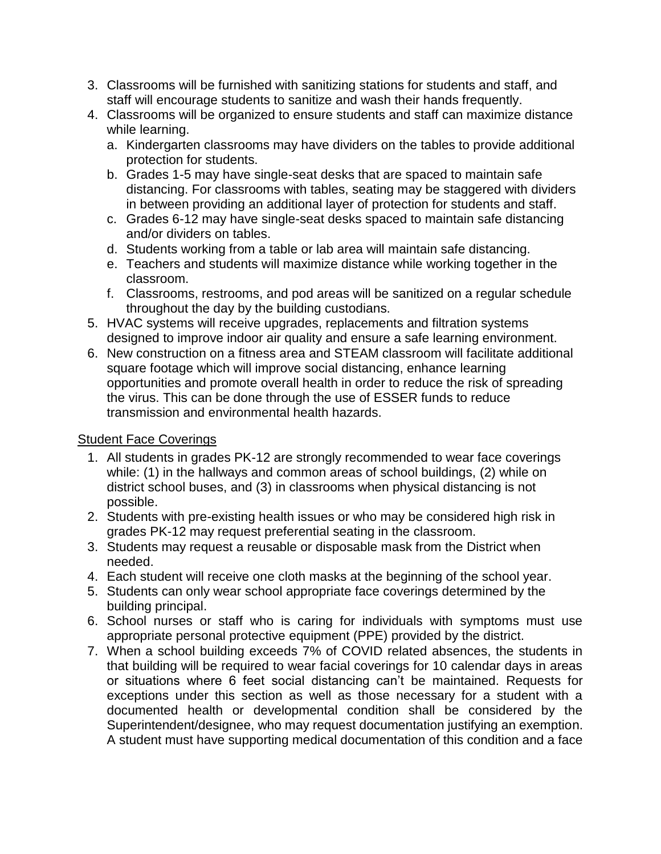- 3. Classrooms will be furnished with sanitizing stations for students and staff, and staff will encourage students to sanitize and wash their hands frequently.
- 4. Classrooms will be organized to ensure students and staff can maximize distance while learning.
	- a. Kindergarten classrooms may have dividers on the tables to provide additional protection for students.
	- b. Grades 1-5 may have single-seat desks that are spaced to maintain safe distancing. For classrooms with tables, seating may be staggered with dividers in between providing an additional layer of protection for students and staff.
	- c. Grades 6-12 may have single-seat desks spaced to maintain safe distancing and/or dividers on tables.
	- d. Students working from a table or lab area will maintain safe distancing.
	- e. Teachers and students will maximize distance while working together in the classroom.
	- f. Classrooms, restrooms, and pod areas will be sanitized on a regular schedule throughout the day by the building custodians.
- 5. HVAC systems will receive upgrades, replacements and filtration systems designed to improve indoor air quality and ensure a safe learning environment.
- 6. New construction on a fitness area and STEAM classroom will facilitate additional square footage which will improve social distancing, enhance learning opportunities and promote overall health in order to reduce the risk of spreading the virus. This can be done through the use of ESSER funds to reduce transmission and environmental health hazards.

# Student Face Coverings

- 1. All students in grades PK-12 are strongly recommended to wear face coverings while: (1) in the hallways and common areas of school buildings, (2) while on district school buses, and (3) in classrooms when physical distancing is not possible.
- 2. Students with pre-existing health issues or who may be considered high risk in grades PK-12 may request preferential seating in the classroom.
- 3. Students may request a reusable or disposable mask from the District when needed.
- 4. Each student will receive one cloth masks at the beginning of the school year.
- 5. Students can only wear school appropriate face coverings determined by the building principal.
- 6. School nurses or staff who is caring for individuals with symptoms must use appropriate personal protective equipment (PPE) provided by the district.
- 7. When a school building exceeds 7% of COVID related absences, the students in that building will be required to wear facial coverings for 10 calendar days in areas or situations where 6 feet social distancing can't be maintained. Requests for exceptions under this section as well as those necessary for a student with a documented health or developmental condition shall be considered by the Superintendent/designee, who may request documentation justifying an exemption. A student must have supporting medical documentation of this condition and a face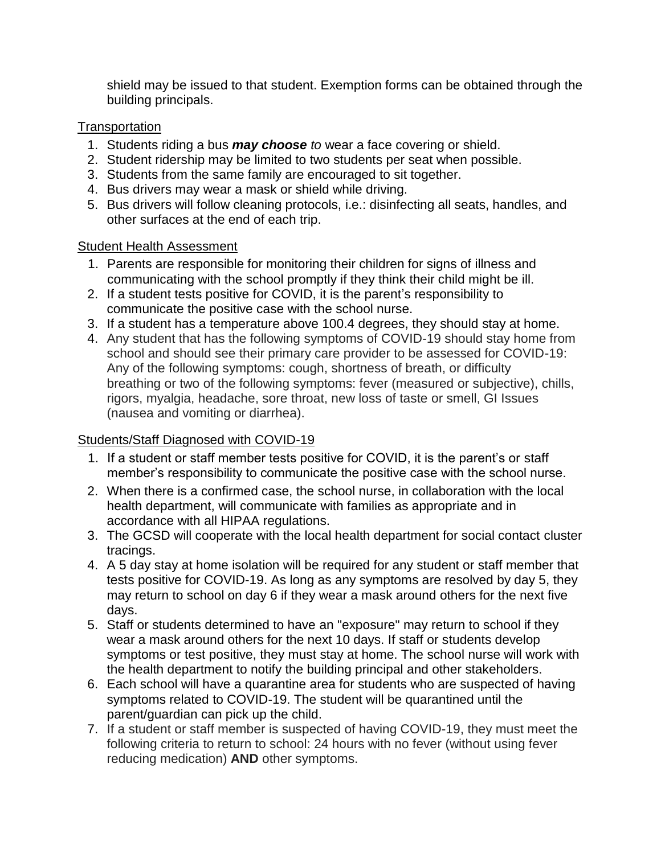shield may be issued to that student. Exemption forms can be obtained through the building principals.

# **Transportation**

- 1. Students riding a bus *may choose to* wear a face covering or shield.
- 2. Student ridership may be limited to two students per seat when possible.
- 3. Students from the same family are encouraged to sit together.
- 4. Bus drivers may wear a mask or shield while driving.
- 5. Bus drivers will follow cleaning protocols, i.e.: disinfecting all seats, handles, and other surfaces at the end of each trip.

## Student Health Assessment

- 1. Parents are responsible for monitoring their children for signs of illness and communicating with the school promptly if they think their child might be ill.
- 2. If a student tests positive for COVID, it is the parent's responsibility to communicate the positive case with the school nurse.
- 3. If a student has a temperature above 100.4 degrees, they should stay at home.
- 4. Any student that has the following symptoms of COVID-19 should stay home from school and should see their primary care provider to be assessed for COVID-19: Any of the following symptoms: cough, shortness of breath, or difficulty breathing or two of the following symptoms: fever (measured or subjective), chills, rigors, myalgia, headache, sore throat, new loss of taste or smell, GI Issues (nausea and vomiting or diarrhea).

# Students/Staff Diagnosed with COVID-19

- 1. If a student or staff member tests positive for COVID, it is the parent's or staff member's responsibility to communicate the positive case with the school nurse.
- 2. When there is a confirmed case, the school nurse, in collaboration with the local health department, will communicate with families as appropriate and in accordance with all HIPAA regulations.
- 3. The GCSD will cooperate with the local health department for social contact cluster tracings.
- 4. A 5 day stay at home isolation will be required for any student or staff member that tests positive for COVID-19. As long as any symptoms are resolved by day 5, they may return to school on day 6 if they wear a mask around others for the next five days.
- 5. Staff or students determined to have an "exposure" may return to school if they wear a mask around others for the next 10 days. If staff or students develop symptoms or test positive, they must stay at home. The school nurse will work with the health department to notify the building principal and other stakeholders.
- 6. Each school will have a quarantine area for students who are suspected of having symptoms related to COVID-19. The student will be quarantined until the parent/guardian can pick up the child.
- 7. If a student or staff member is suspected of having COVID-19, they must meet the following criteria to return to school: 24 hours with no fever (without using fever reducing medication) **AND** other symptoms.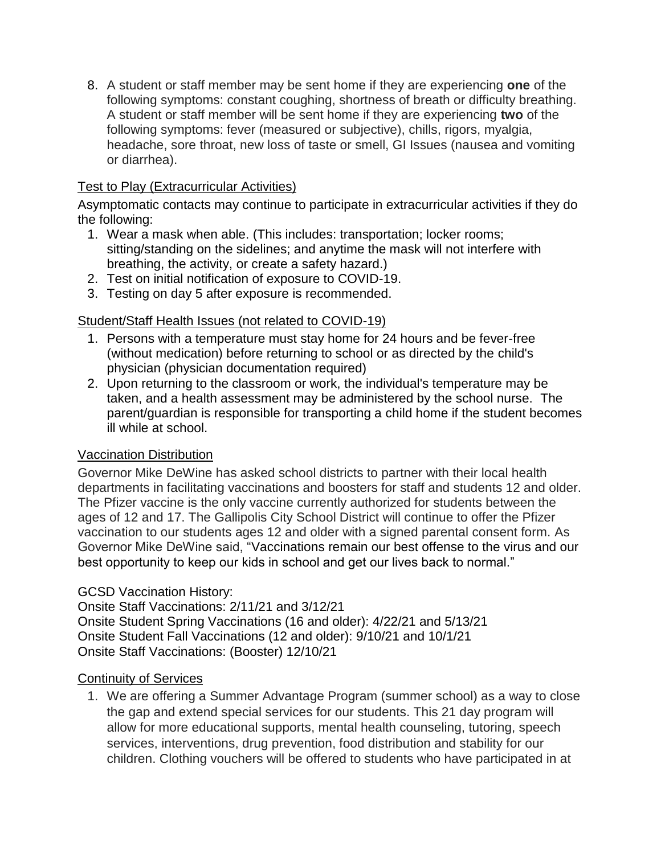8. A student or staff member may be sent home if they are experiencing **one** of the following symptoms: constant coughing, shortness of breath or difficulty breathing. A student or staff member will be sent home if they are experiencing **two** of the following symptoms: fever (measured or subjective), chills, rigors, myalgia, headache, sore throat, new loss of taste or smell, GI Issues (nausea and vomiting or diarrhea).

# Test to Play (Extracurricular Activities)

Asymptomatic contacts may continue to participate in extracurricular activities if they do the following:

- 1. Wear a mask when able. (This includes: transportation; locker rooms; sitting/standing on the sidelines; and anytime the mask will not interfere with breathing, the activity, or create a safety hazard.)
- 2. Test on initial notification of exposure to COVID-19.
- 3. Testing on day 5 after exposure is recommended.

# Student/Staff Health Issues (not related to COVID-19)

- 1. Persons with a temperature must stay home for 24 hours and be fever-free (without medication) before returning to school or as directed by the child's physician (physician documentation required)
- 2. Upon returning to the classroom or work, the individual's temperature may be taken, and a health assessment may be administered by the school nurse. The parent/guardian is responsible for transporting a child home if the student becomes ill while at school.

## Vaccination Distribution

Governor Mike DeWine has asked school districts to partner with their local health departments in facilitating vaccinations and boosters for staff and students 12 and older. The Pfizer vaccine is the only vaccine currently authorized for students between the ages of 12 and 17. The Gallipolis City School District will continue to offer the Pfizer vaccination to our students ages 12 and older with a signed parental consent form. As Governor Mike DeWine said, "Vaccinations remain our best offense to the virus and our best opportunity to keep our kids in school and get our lives back to normal."

## GCSD Vaccination History:

Onsite Staff Vaccinations: 2/11/21 and 3/12/21 Onsite Student Spring Vaccinations (16 and older): 4/22/21 and 5/13/21 Onsite Student Fall Vaccinations (12 and older): 9/10/21 and 10/1/21 Onsite Staff Vaccinations: (Booster) 12/10/21

# Continuity of Services

1. We are offering a Summer Advantage Program (summer school) as a way to close the gap and extend special services for our students. This 21 day program will allow for more educational supports, mental health counseling, tutoring, speech services, interventions, drug prevention, food distribution and stability for our children. Clothing vouchers will be offered to students who have participated in at